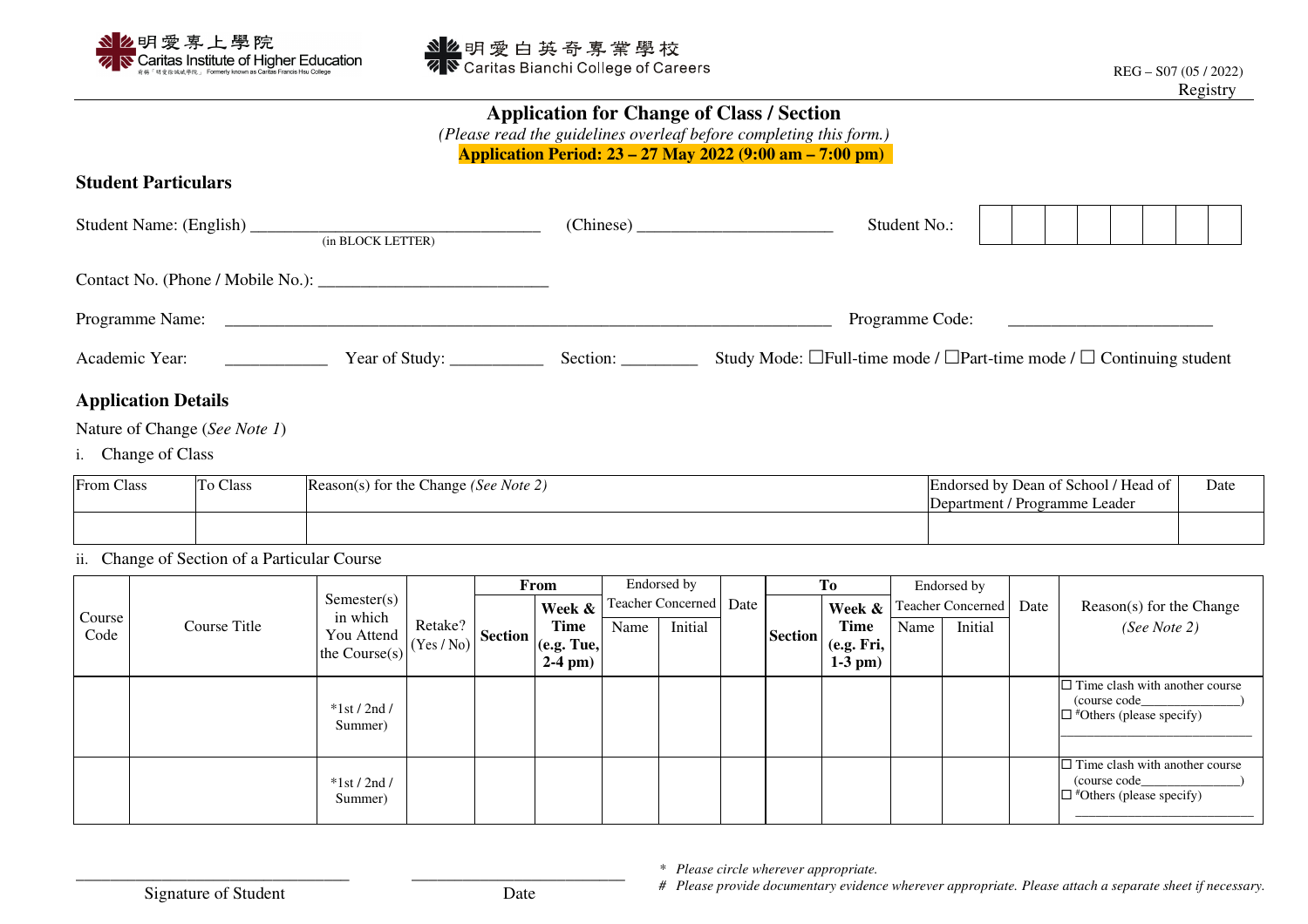

## **Application for Change of Class / Section**

*(Please read the guidelines overleaf before completing this form.)* 

**Application Period: 23 – 27 May 2022 (9:00 am – 7:00 pm)** 

## **Student Particulars**

| Student Name: (English)           | (in BLOCK LETTER) | (Chinese) | Student No.:                                                                          |  |  |  |
|-----------------------------------|-------------------|-----------|---------------------------------------------------------------------------------------|--|--|--|
| Contact No. (Phone / Mobile No.): |                   |           |                                                                                       |  |  |  |
| Programme Name:                   |                   |           | Programme Code:                                                                       |  |  |  |
| Academic Year:                    | Year of Study:    | Section:  | Study Mode: $\Box$ Full-time mode / $\Box$ Part-time mode / $\Box$ Continuing student |  |  |  |

## **Application Details**

Nature of Change (*See Note 1*)

i. Change of Class

| <b>From Class</b> | To Class | Reason(s) for the Change (See Note 2) | Endorsed by Dean of School / Head of<br>Department / Programme Leader | Date |
|-------------------|----------|---------------------------------------|-----------------------------------------------------------------------|------|
|                   |          |                                       |                                                                       |      |

ii. Change of Section of a Particular Course

|                | Course Title | Semester(s)<br>in which<br>You Attend<br>the Course(s) |                       | From    |                                             | Endorsed by              |         |      | Tо             |                            | Endorsed by              |         |      |                                                                                           |
|----------------|--------------|--------------------------------------------------------|-----------------------|---------|---------------------------------------------|--------------------------|---------|------|----------------|----------------------------|--------------------------|---------|------|-------------------------------------------------------------------------------------------|
| Course<br>Code |              |                                                        | Retake?<br>(Yes / No) | Section | Week &                                      | <b>Teacher Concerned</b> |         | Date | <b>Section</b> | Week &                     | <b>Teacher Concerned</b> |         | Date | Reason(s) for the Change                                                                  |
|                |              |                                                        |                       |         | <b>Time</b><br>$(e.g.$ Tue,<br>$2-4$ pm $)$ | Name                     | Initial |      |                | Time                       | Name                     | Initial |      | (See Note 2)                                                                              |
|                |              |                                                        |                       |         |                                             |                          |         |      |                | (e.g. Fri,<br>$1-3$ pm $)$ |                          |         |      |                                                                                           |
|                |              | $*1st/2nd/$<br>Summer)                                 |                       |         |                                             |                          |         |      |                |                            |                          |         |      | $\Box$ Time clash with another course<br>(course code)<br>$\Box$ #Others (please specify) |
|                |              | $*1st/2nd/$<br>Summer)                                 |                       |         |                                             |                          |         |      |                |                            |                          |         |      | $\Box$ Time clash with another course<br>(course code)<br>$\Box$ #Others (please specify) |

*\* Please circle wherever appropriate.* 

Signature of Student Date

*# Please provide documentary evidence wherever appropriate. Please attach a separate sheet if necessary.*